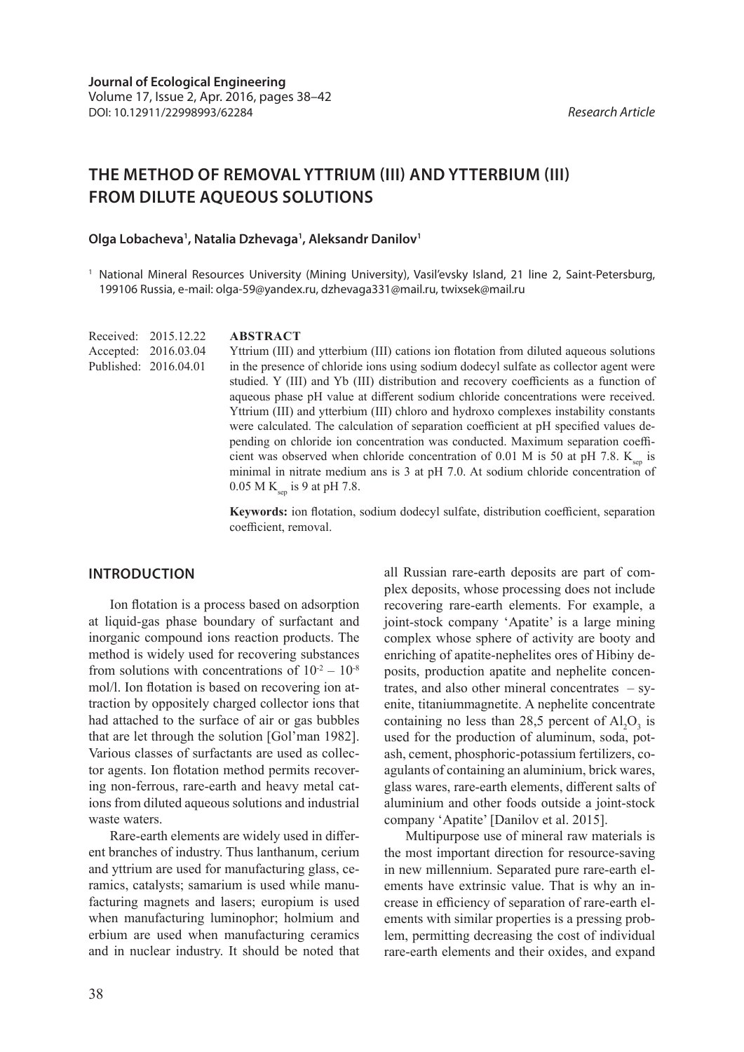# **THE METHOD OF REMOVAL YTTRIUM (III) AND YTTERBIUM (III) FROM DILUTE AQUEOUS SOLUTIONS**

#### Olga Lobacheva<sup>1</sup>, Natalia Dzhevaga<sup>1</sup>, Aleksandr Danilov<sup>1</sup>

<sup>1</sup> National Mineral Resources University (Mining University), Vasil'evsky Island, 21 line 2, Saint-Petersburg, 199106 Russia, e-mail: olga-59@yandex.ru, dzhevaga331@mail.ru, twixsek@mail.ru

Received: 2015.12.22 Accepted: 2016.03.04 Published: 2016.04.01

#### **ABSTRACT**

Yttrium (III) and ytterbium (III) cations ion flotation from diluted aqueous solutions in the presence of chloride ions using sodium dodecyl sulfate as collector agent were studied. Y (III) and Yb (III) distribution and recovery coefficients as a function of aqueous phase рН value at different sodium chloride concentrations were received. Yttrium (III) and ytterbium (III) chloro and hydroxo complexes instability constants were calculated. The calculation of separation coefficient at рН specified values depending on chloride ion concentration was conducted. Maximum separation coefficient was observed when chloride concentration of 0.01 M is 50 at pH 7.8.  $K_{\text{sen}}$  is minimal in nitrate medium ans is 3 at рН 7.0. At sodium chloride concentration of 0.05 M K<sub>sep</sub> is 9 at pH 7.8.

**Keywords:** ion flotation, sodium dodecyl sulfate, distribution coefficient, separation coefficient, removal.

## **INTRODUCTION**

Ion flotation is a process based on adsorption at liquid-gas phase boundary of surfactant and inorganic compound ions reaction products. The method is widely used for recovering substances from solutions with concentrations of  $10^{-2} - 10^{-8}$ mol/l. Ion flotation is based on recovering ion attraction by oppositely charged collector ions that had attached to the surface of air or gas bubbles that are let through the solution [Gol'man 1982]. Various classes of surfactants are used as collector agents. Ion flotation method permits recovering non-ferrous, rare-earth and heavy metal cations from diluted aqueous solutions and industrial waste waters.

Rare-earth elements are widely used in different branches of industry. Thus lanthanum, cerium and yttrium are used for manufacturing glass, ceramics, catalysts; samarium is used while manufacturing magnets and lasers; europium is used when manufacturing luminophor; holmium and erbium are used when manufacturing ceramics and in nuclear industry. It should be noted that all Russian rare-earth deposits are part of complex deposits, whose processing does not include recovering rare-earth elements. For example, a joint-stock company 'Apatite' is a large mining complex whose sphere of activity are booty and enriching of apatite-nephelites ores of Hibiny deposits, production apatite and nephelite concentrates, and also other mineral concentrates  $-$  syenite, titaniummagnetite. A nephelite concentrate containing no less than 28,5 percent of  $Al_2O_3$  is used for the production of aluminum, soda, potash, cement, phosphoric-potassium fertilizers, coagulants of containing an aluminium, brick wares, glass wares, rare-earth elements, different salts of aluminium and other foods outside a joint-stock company 'Apatite' [Danilov et al. 2015].

Multipurpose use of mineral raw materials is the most important direction for resource-saving in new millennium. Separated pure rare-earth elements have extrinsic value. That is why an increase in efficiency of separation of rare-earth elements with similar properties is a pressing problem, permitting decreasing the cost of individual rare-earth elements and their oxides, and expand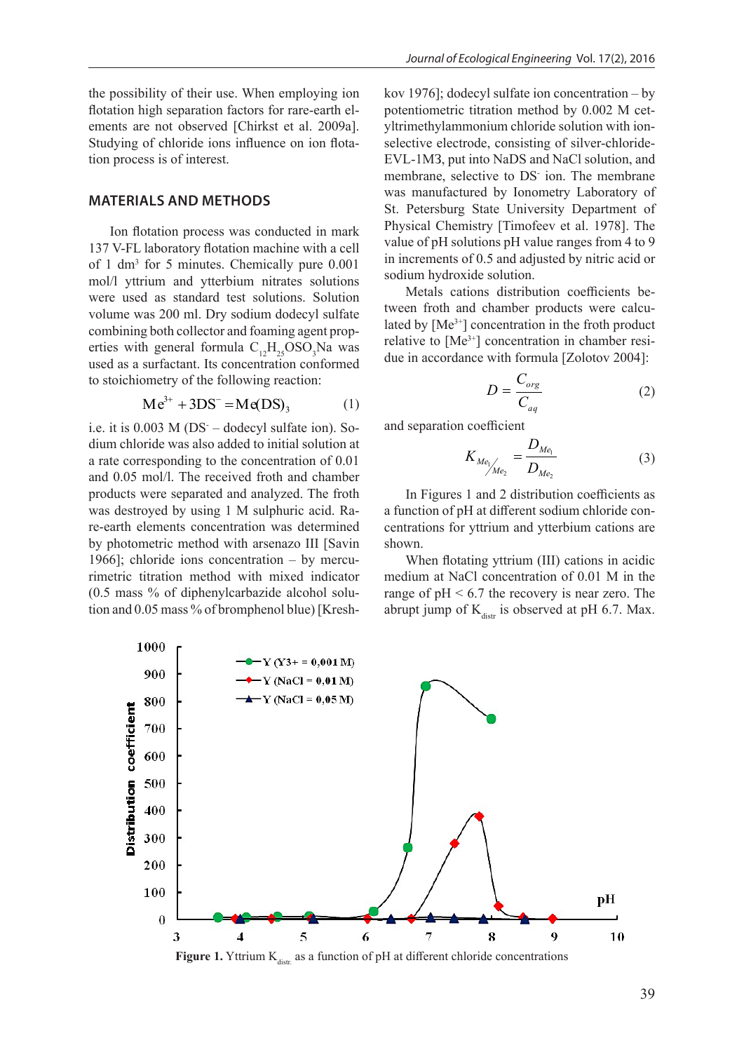the possibility of their use. When employing ion flotation high separation factors for rare-earth elements are not observed [Chirkst et al. 2009a]. Studying of chloride ions influence on ion flotation process is of interest.

## **MATERIALS AND METHODS**

137 V-FL laboratory flotation machine with a cell of  $1 \text{ dm}^3$  for 5 minutes. Chemically pure  $0.001$ mol/l yttrium and ytterbium nitrates solutions were used as standard test solutions. Solution volume was 200 ml. Dry sodium dodecyl sulfate  $\frac{1}{2}$  combining both collector and foaming agent properties with general formula  $C_{12}H_{25}OSO_3$ Na was used as a surfactant. Its concentration conformed to stoichiometry of the following reaction: l

$$
Me^{3+} + 3DS^- = Me(DS)_3
$$
 (1)

i.e. it is  $0.003$  M (DS – dodecyl sulfate ion). So-<br>i.e. it is  $0.003$  M (DS – dodecyl sulfate ion). Soa rate corresponding to the concentration of 0.01  $K_{M_{e_{1}}/e_{2}}$ products were separated and analyzed. The froth In Figures 1 and 2 d was destroyed by using 1 M sulphuric acid. Ra- a function of pH at differe by photometric method with arsenazo III [Savin shown. 1966]; chloride ions concentration – by mercu-<br>When flotating yttrium (III) cated in  $\frac{1}{2}$ (0.5 mass % of diphenylcarbazide alcohol solu- range of  $pH < 6.7$  the retion and 0.05 mass % of bromphenol blue) [Kresh- abrupt jump of  $K_{\text{distr}}$  is ol dium chloride was also added to initial solution at and 0.05 mol/l. The received froth and chamber re-earth elements concentration was determined rimetric titration method with mixed indicator  $\frac{1}{2}$  and separation coefficients of  $\frac{1}{2}$ 

Ion flotation process was conducted in mark Figsical Chemistry [Timoleev et al. 1976]. The use. When employing ion kov 1976]; dodecyl sulfate ion concentration – by asset when employing for  $\frac{1}{2}$ ,  $\frac{1}{2}$ ; dodecyl sulfate for concentration  $\frac{1}{2}$ ; or  $\frac{1}{2}$ ; and  $\frac{1}{2}$  for an external blue of bromechinal blue of  $\frac{1}{2}$ ;  $\frac{1}{2}$ ed [Chirkst et al. 2009a]. yltrimethylammonium chloride solution with ionns influence on ion flota-<br>selective electrode, consisting of silver-chloride- $EVAL1M3$ , put into NaDS and NaCl solution, and membrane, selective to DS ion. The membrane ETHODS was manufactured by Ionometry Laboratory of ETHODS St. Petersburg State University Department of  $\mu$ <sub>s</sub> was conducted in mark Physical Chemistry [Timofeev et al. 1978]. The value of pH solutions pH value ranges from 4 to 9 tation machine with a cell value of prisolutions privatue ranges from 4 to 9<br>s. Chemically pure 0.001 in increments of 0.5 and adjusted by nitric acid or sodium hydroxide solution.

nitrates solutions solutions distribution.<br>
Metals cations distribution coefficients bed test solutions. Solution<br>ry sodium dodecyl sulfate tween froth and chamber products were calcu- $\mu$  by solutin dodecy surfact lated by  $[Me^{3+}]$  concentration in the froth product relative to  $[Me^{3+}]$  concentration in chamber residue in accordance with formula [Zolotov 2004]:

$$
D = \frac{C_{org}}{C_{aq}}\tag{2}
$$

and separation coefficient

$$
K_{Me_{1}}/_{Me_{2}} = \frac{D_{Me_{1}}}{D_{Me_{2}}}
$$
 (3)

In Figures 1 and 2 distribution coefficients as on was determined centrations for yttrium and ytterbium cations are a function of рН at different sodium chloride conshown.

od with mixed indicator medium at NaCl concentration of  $0.01$  M in the lcohol solu-<br>range of  $pH < 6.7$  the recovery is near zero. The When flotating yttrium (III) cations in acidic abrupt jump of  $K_{\text{distr}}$  is observed at pH 6.7. Max.



**Figure 1.** Yttrium  $K_{\text{dist}}$  as a function of pH at different chloride concentrations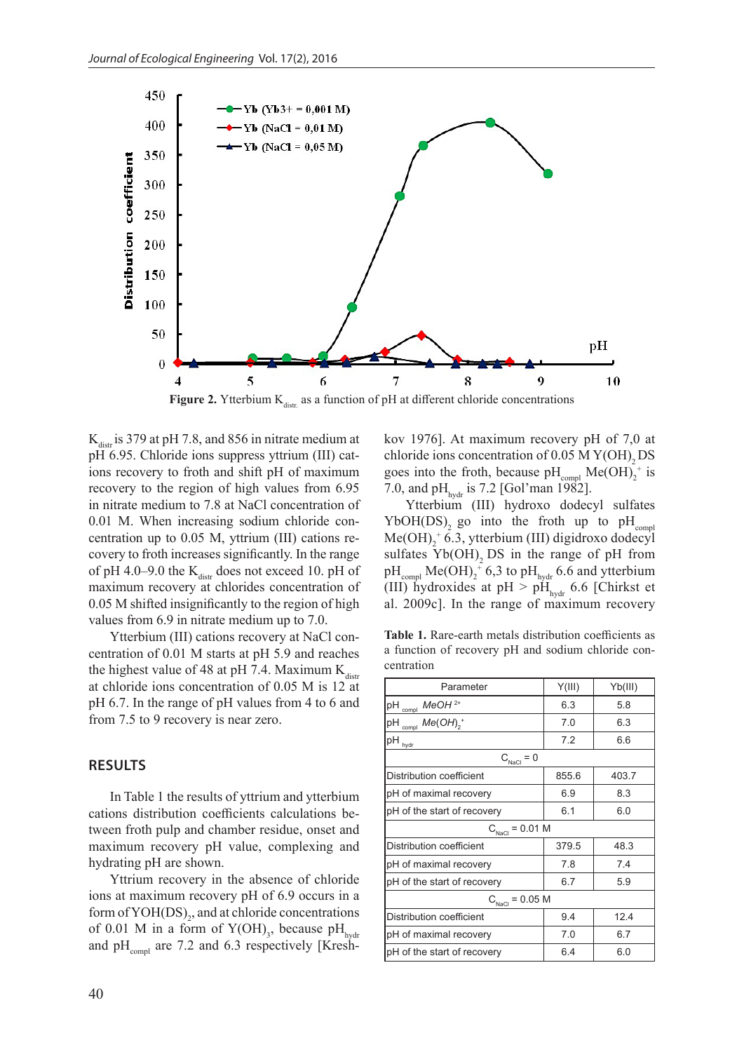

**Figure 2.** Ytterbium  $K_{\text{distr}}$  as a function of pH at different chloride concentrations

 $K_{\text{data}}$  is 379 at pH 7.8, and 856 in nitrate medium at рН 6.95. Chloride ions suppress yttrium (III) cations recovery to froth and shift рН of maximum recovery to the region of high values from 6.95 in nitrate medium to 7.8 at NaCl concentration of 0.01 M. When increasing sodium chloride concentration up to 0.05 M, yttrium (III) cations recovery to froth increases significantly. In the range of pH 4.0–9.0 the  $K_{\text{distr}}$  does not exceed 10. pH of maximum recovery at chlorides concentration of 0.05 M shifted insignificantly to the region of high values from 6.9 in nitrate medium up to 7.0.

Ytterbium (III) cations recovery at NaCl concentration of 0.01 M starts at рН 5.9 and reaches the highest value of 48 at pH 7.4. Maximum  $K_{\text{dist}}$ at chloride ions concentration of 0.05 M is 12 at рН 6.7. In the range of рН values from 4 to 6 and from 7.5 to 9 recovery is near zero.

## **RESULTS**

In Table 1 the results of yttrium and ytterbium cations distribution coefficients calculations between froth pulp and chamber residue, onset and maximum recovery pH value, complexing and hydrating рН are shown.

Yttrium recovery in the absence of chloride ions at maximum recovery рН of 6.9 occurs in a form of  $\text{YOH}(\text{DS})_2$ , and at chloride concentrations of 0.01 M in a form of  $Y(OH)_{3}$ , because pH<sub>hydr</sub> and  $pH_{\text{compl}}$  are 7.2 and 6.3 respectively [Kreshkov 1976]. At maximum recovery рН of 7,0 at chloride ions concentration of  $0.05$  M Y(OH)<sub>2</sub> DS goes into the froth, because  $pH_{\text{compl}}$  Me(OH)<sub>2</sub><sup>+</sup> is 7.0, and pH<sub>hydr</sub> is 7.2 [Gol'man 1982].

Ytterbium (III) hydroxo dodecyl sulfates YbOH(DS), go into the froth up to  $pH_{\text{compl}}$  $Me(OH)<sub>2</sub>$ <sup>+</sup> 6.3, ytterbium (III) digidroxo dodecyl sulfates  $Yb(OH)$ , DS in the range of pH from  $\rm pH_{\rm compl}$  Me(OH)<sub>2</sub><sup>+</sup> 6,3 to pH<sub>hydr</sub> 6.6 and ytterbium (III) hydroxides at pH  $>$  pH<sub>hydr</sub> 6.6 [Chirkst et al. 2009c]. In the range of maximum recovery

**Table 1.** Rare-earth metals distribution coefficients as a function of recovery рН and sodium chloride concentration

| Parameter                             | Y(III)     | Yb(III) |  |  |  |  |  |
|---------------------------------------|------------|---------|--|--|--|--|--|
| $MeOH2+$<br>$pH_{\text{compl}}$       | 6.3        | 5.8     |  |  |  |  |  |
| $Me(OH)2$ <sup>+</sup><br>рH<br>compl | 7.0        | 6.3     |  |  |  |  |  |
| $pH_{\text{hydr}}$                    | 7.2        | 6.6     |  |  |  |  |  |
| $C_{\text{NaCl}} = 0$                 |            |         |  |  |  |  |  |
| <b>Distribution coefficient</b>       | 855.6      | 403.7   |  |  |  |  |  |
| pH of maximal recovery                | 6.9        | 8.3     |  |  |  |  |  |
| pH of the start of recovery           | 6.1<br>6.0 |         |  |  |  |  |  |
| $C_{\text{NaCl}} = 0.01 \text{ M}$    |            |         |  |  |  |  |  |
| Distribution coefficient              | 379.5      | 48.3    |  |  |  |  |  |
| pH of maximal recovery                | 7.8        | 7.4     |  |  |  |  |  |
| pH of the start of recovery           | 6.7        | 5.9     |  |  |  |  |  |
| $C_{\text{NaCl}} = 0.05$ M            |            |         |  |  |  |  |  |
| Distribution coefficient              | 9.4        | 12.4    |  |  |  |  |  |
| pH of maximal recovery                | 6.7<br>7.0 |         |  |  |  |  |  |
| pH of the start of recovery           | 6.4        | 6.0     |  |  |  |  |  |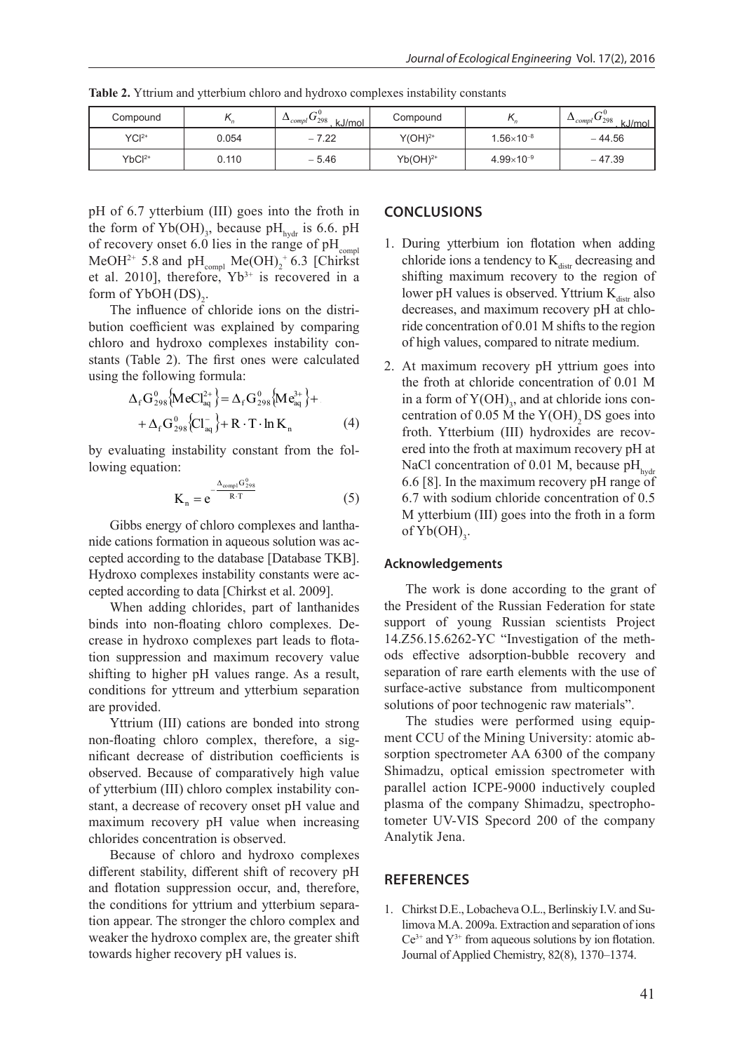| $-7.22$<br>$-44.56$<br>$\mathsf{YCl}^{2+}$<br>$Y(OH)2+$<br>0.054<br>$1.56\times10^{-8}$<br>$4.99\times10^{-9}$ | Compound |       | $\sim 0$<br>$\Delta$ <sub>compl</sub> $\cup$ <sub>298</sub><br>kJ/mol | Compound   | $\sim$ 0<br>$\Delta_{compl}$ U <sub>298</sub><br>kJ/mol |
|----------------------------------------------------------------------------------------------------------------|----------|-------|-----------------------------------------------------------------------|------------|---------------------------------------------------------|
|                                                                                                                |          |       |                                                                       |            |                                                         |
|                                                                                                                | $YbCl2+$ | 0.110 | $-5.46$                                                               | $Yb(OH)2+$ | $-47.39$                                                |

Table 2. Yttrium and ytterbium chloro and hydroxo complexes instability constants

рН of 6.7 ytterbium (III) goes into the froth in the form of  $Yb(OH)_{3}$ , because  $pH_{\text{hydr}}$  is 6.6.  $pH$ of recovery onset 6.0 lies in the range of pH<sub>compl</sub> 1. During ytterbium ion flotation MeOH<sup>2+</sup> 5.8 and  $pH_{\text{compl}}$  Me(OH)<sub>2</sub><sup>+</sup> 6.3 [Chirkst chloride ion et al. 2010], therefore,  $Yb^{3+}$  is recovered in a shifting maximum recovery form of  $YbOH(DS)_{2}$ .  $\sim$  II of 6.7 ytterbium (III) gees into the from  $\sim$  COMCLUSIONS

Yttrium recovery in the absence of chloride ions at maximum recovery presented in the 6.9 occurs in the 6.9 oc

 $\frac{1}{2}$  form of YbOH(DS)<sub>2</sub>. I lower pH v<br>The influence of chloride ions on the distri-<br>decreases, bution coefficient was explained by comparing ride concentration of 0.01 M s chloro and hydroxo complexes instability constants of high values, compared to ne stants (Table 2). The first ones were calculated  $\frac{1}{2}$  At maximum using the following formula:<br>the froth at

$$
\Delta_{f} G_{298}^{0} \{ \text{MeCl}^{2+}_{aq} \} = \Delta_{f} G_{298}^{0} \{ \text{Me}^{3+}_{aq} \} + \text{in a form} \n+ \Delta_{f} G_{298}^{0} \{ Cl_{aq}^{-} \} + \text{R} \cdot \text{T} \cdot \text{ln K}_{n} \tag{4} \tag{4} \text{for } Y
$$

 $R = \frac{1}{2}$ by evaluating instability constant from the fol-<br>lowing equation: lowing equation:

$$
K_n = e^{-\frac{\Delta_{\text{compI}} G_{298}^0}{R \cdot T}}
$$
 (5)

 $\mathbf{a}$ Gibbs energy of chloro complexes and lantha-<br>of  $Yb(OH)$ . nide cations formation in aqueous solution was accepted according to data [Chirkst et al. 2009]. expression complete the database instability constants were according to the database [Database TKB]. Hydroxo complexes instability constants were ac-

When adding chlorides, part of lanthanides binds into non-floating chloro complexes. Decrease in hydroxo complexes part leads to flotation suppression and maximum recovery value shifting to higher pH values range. As a result, conditions for yttreum and ytterbium separation are provided.

Yttrium (III) cations are bonded into strong non-floating chloro complex, therefore, a significant decrease of distribution coefficients is observed. Because of comparatively high value of ytterbium (III) chloro complex instability constant, a decrease of recovery onset рН value and maximum recovery рН value when increasing chlorides concentration is observed.

Because of chloro and hydroxo complexes different stability, different shift of recovery рН and flotation suppression occur, and, therefore, the conditions for yttrium and ytterbium separation appear. The stronger the chloro complex and weaker the hydroxo complex are, the greater shift towards higher recovery рН values is.

## **CONCLUSIONS**

- 1. During ytterbium ion flotation when adding chloride ions a tendency to  $K_{\text{dist}}$  decreasing and shifting maximum recovery to the region of lower pH values is observed. Yttrium  $K_{\text{distr}}$  also decreases, and maximum recovery рН at chloride concentration of 0.01 М shifts to the region of high values, compared to nitrate medium.
- $\Delta_f G_{298}^0$  MeCl<sup>2+</sup>  $\geq \Delta_f G_{298}^0$  Me<sup>3+</sup>  $\}$  in a form of Y(OH)<sub>3</sub>, and at chloride ions con-NaCl concentration of 0.01 M, because  $pH_{hydro}$ <br>6.6.5.81. In the maximum recovery pH range of  $K_n = e^{R \cdot T}$  (5) 6.7 with sodium chloride concentration of 0.5 2. At maximum recovery рН yttrium goes into the froth at chloride concentration of 0.01 М centration of  $0.05$  M the Y(OH)<sub>2</sub> DS goes into froth. Ytterbium (III) hydroxides are recovered into the froth at maximum recovery рН at 6.6 [8]. In the maximum recovery рН range of М ytterbium (III) goes into the froth in a form of  $Yb(OH)_{3}$ .

#### **Acknowledgements**

The work is done according to the grant of the President of the Russian Federation for state support of young Russian scientists Project 14.Z56.15.6262-YC "Investigation of the methods effective adsorption-bubble recovery and separation of rare earth elements with the use of surface-active substance from multicomponent solutions of poor technogenic raw materials".

The studies were performed using equipment CCU of the Mining University: atomic absorption spectrometer AA 6300 of the company Shimadzu, optical emission spectrometer with parallel action ICPE-9000 inductively coupled plasma of the company Shimadzu, spectrophotometer UV-VIS Specord 200 of the company Analytik Jena.

#### **REFERENCES**

1. Chirkst D.E., Lobacheva O.L., Berlinskiy I.V. and Sulimova M.A. 2009a. Extraction and separation of ions  $Ce^{3+}$  and  $Y^{3+}$  from aqueous solutions by ion flotation. Journal of Applied Chemistry, 82(8), 1370–1374.